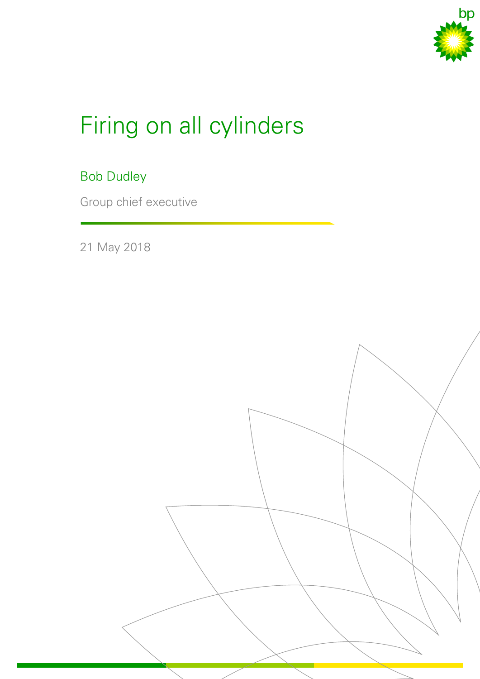

# Firing on all cylinders

#### Bob Dudley

Group chief executive

21 May 2018

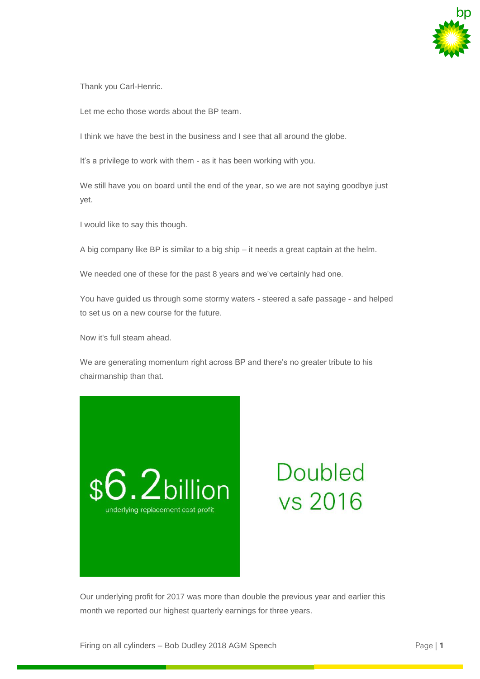

Thank you Carl-Henric.

Let me echo those words about the BP team.

I think we have the best in the business and I see that all around the globe.

It's a privilege to work with them - as it has been working with you.

We still have you on board until the end of the year, so we are not saying goodbye just yet.

I would like to say this though.

A big company like BP is similar to a big ship – it needs a great captain at the helm.

We needed one of these for the past 8 years and we've certainly had one.

You have guided us through some stormy waters - steered a safe passage - and helped to set us on a new course for the future.

Now it's full steam ahead.

We are generating momentum right across BP and there's no greater tribute to his chairmanship than that.



## **Doubled** vs 2016

Our underlying profit for 2017 was more than double the previous year and earlier this month we reported our highest quarterly earnings for three years.

Firing on all cylinders – Bob Dudley 2018 AGM Speech Page | **1**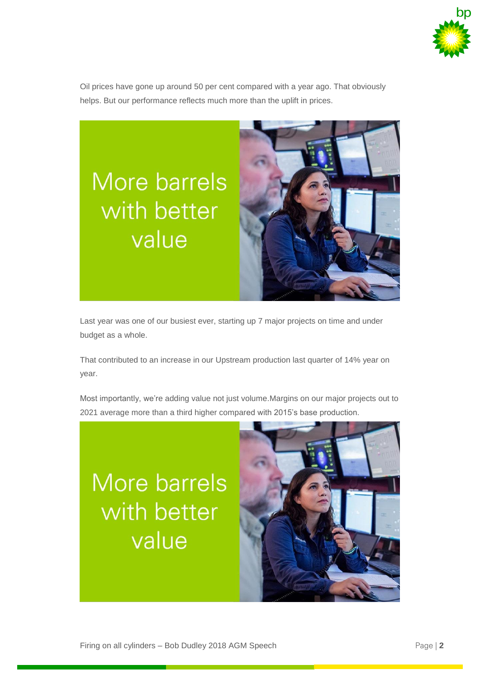

Oil prices have gone up around 50 per cent compared with a year ago. That obviously helps. But our performance reflects much more than the uplift in prices.



Last year was one of our busiest ever, starting up 7 major projects on time and under budget as a whole.

That contributed to an increase in our Upstream production last quarter of 14% year on year.

Most importantly, we're adding value not just volume.Margins on our major projects out to 2021 average more than a third higher compared with 2015's base production.

#### More barrels with better value

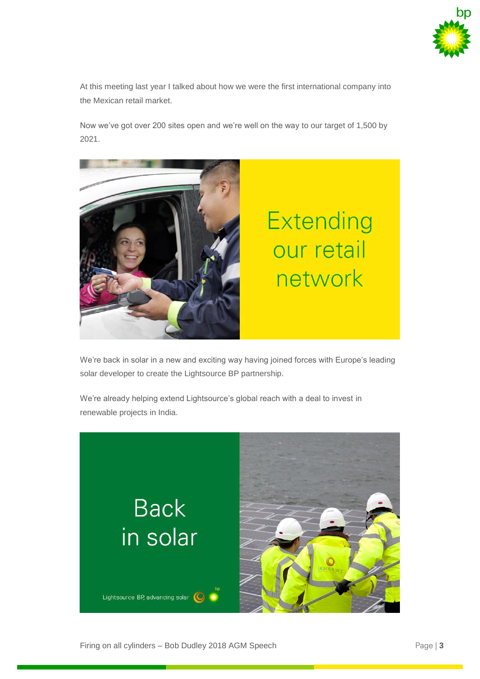

At this meeting last year I talked about how we were the first international company into the Mexican retail market.

Now we've got over 200 sites open and we're well on the way to our target of 1,500 by 2021.



We're back in solar in a new and exciting way having joined forces with Europe's leading solar developer to create the Lightsource BP partnership.

We're already helping extend Lightsource's global reach with a deal to invest in renewable projects in India.

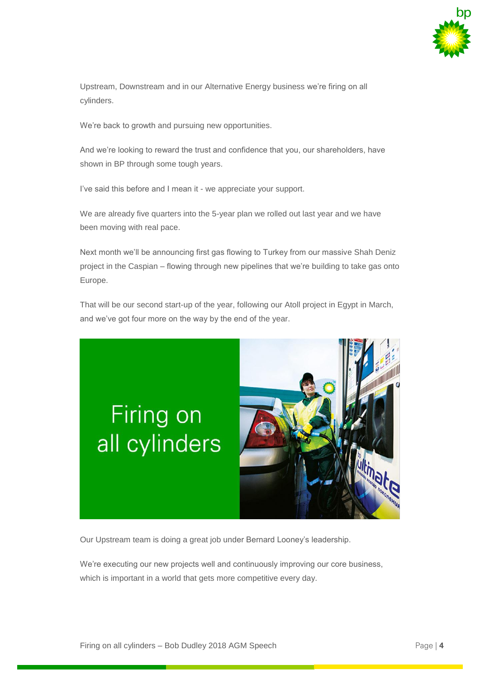

Upstream, Downstream and in our Alternative Energy business we're firing on all cylinders.

We're back to growth and pursuing new opportunities.

And we're looking to reward the trust and confidence that you, our shareholders, have shown in BP through some tough years.

I've said this before and I mean it - we appreciate your support.

We are already five quarters into the 5-year plan we rolled out last year and we have been moving with real pace.

Next month we'll be announcing first gas flowing to Turkey from our massive Shah Deniz project in the Caspian – flowing through new pipelines that we're building to take gas onto Europe.

That will be our second start-up of the year, following our Atoll project in Egypt in March, and we've got four more on the way by the end of the year.

### Firing on all cylinders



Our Upstream team is doing a great job under Bernard Looney's leadership.

We're executing our new projects well and continuously improving our core business, which is important in a world that gets more competitive every day.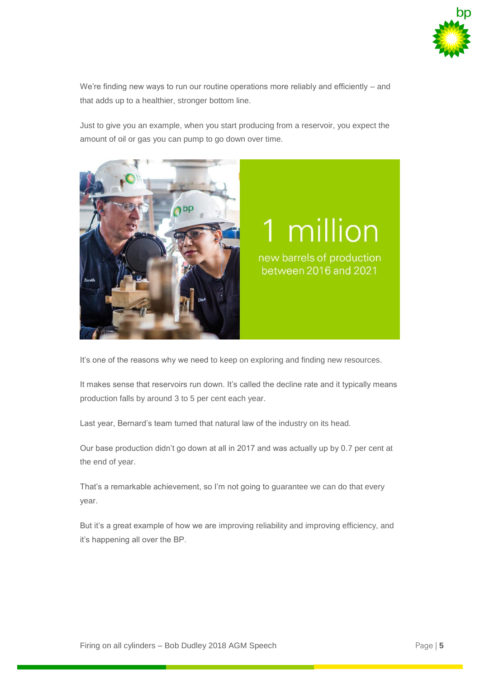

We're finding new ways to run our routine operations more reliably and efficiently – and that adds up to a healthier, stronger bottom line.

Just to give you an example, when you start producing from a reservoir, you expect the amount of oil or gas you can pump to go down over time.



It's one of the reasons why we need to keep on exploring and finding new resources.

It makes sense that reservoirs run down. It's called the decline rate and it typically means production falls by around 3 to 5 per cent each year.

Last year, Bernard's team turned that natural law of the industry on its head.

Our base production didn't go down at all in 2017 and was actually up by 0.7 per cent at the end of year.

That's a remarkable achievement, so I'm not going to guarantee we can do that every year.

But it's a great example of how we are improving reliability and improving efficiency, and it's happening all over the BP.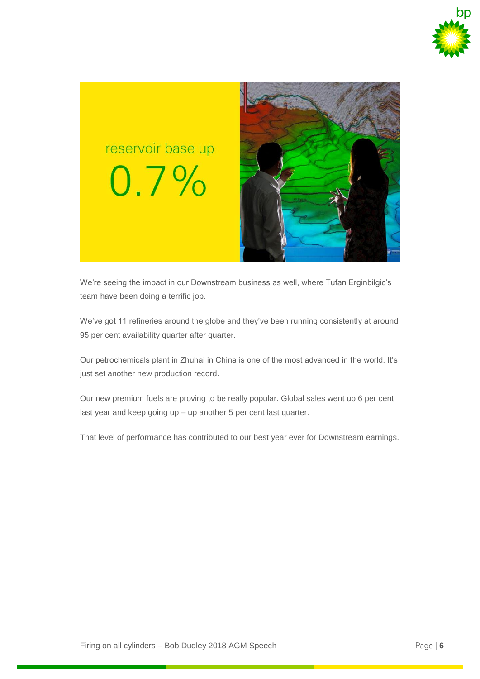



We're seeing the impact in our Downstream business as well, where Tufan Erginbilgic's team have been doing a terrific job.

We've got 11 refineries around the globe and they've been running consistently at around 95 per cent availability quarter after quarter.

Our petrochemicals plant in Zhuhai in China is one of the most advanced in the world. It's just set another new production record.

Our new premium fuels are proving to be really popular. Global sales went up 6 per cent last year and keep going up – up another 5 per cent last quarter.

That level of performance has contributed to our best year ever for Downstream earnings.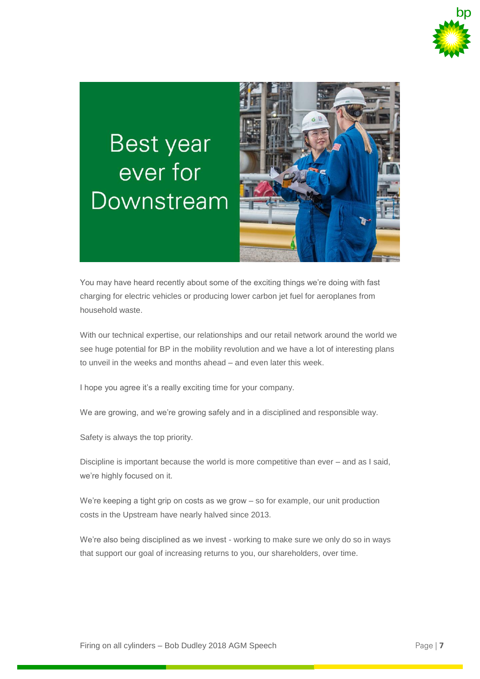

## Best year ever for Downstream



You may have heard recently about some of the exciting things we're doing with fast charging for electric vehicles or producing lower carbon jet fuel for aeroplanes from household waste.

With our technical expertise, our relationships and our retail network around the world we see huge potential for BP in the mobility revolution and we have a lot of interesting plans to unveil in the weeks and months ahead – and even later this week.

I hope you agree it's a really exciting time for your company.

We are growing, and we're growing safely and in a disciplined and responsible way.

Safety is always the top priority.

Discipline is important because the world is more competitive than ever – and as I said, we're highly focused on it.

We're keeping a tight grip on costs as we grow – so for example, our unit production costs in the Upstream have nearly halved since 2013.

We're also being disciplined as we invest - working to make sure we only do so in ways that support our goal of increasing returns to you, our shareholders, over time.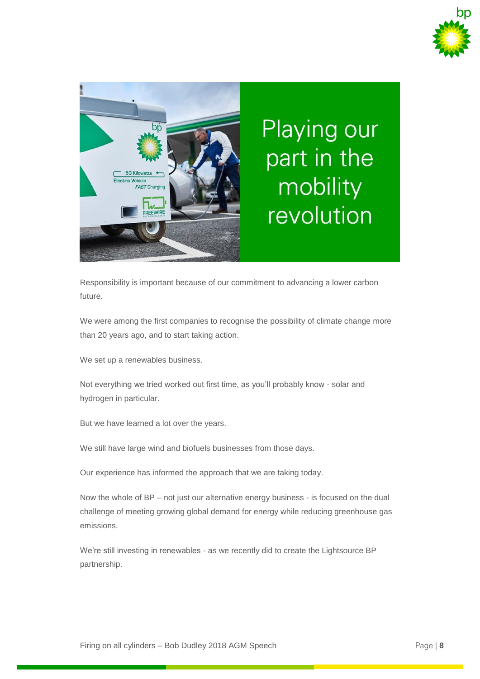



**Playing our** part in the mobility revolution

Responsibility is important because of our commitment to advancing a lower carbon future.

We were among the first companies to recognise the possibility of climate change more than 20 years ago, and to start taking action.

We set up a renewables business.

Not everything we tried worked out first time, as you'll probably know - solar and hydrogen in particular.

But we have learned a lot over the years.

We still have large wind and biofuels businesses from those days.

Our experience has informed the approach that we are taking today.

Now the whole of BP – not just our alternative energy business - is focused on the dual challenge of meeting growing global demand for energy while reducing greenhouse gas emissions.

We're still investing in renewables - as we recently did to create the Lightsource BP partnership.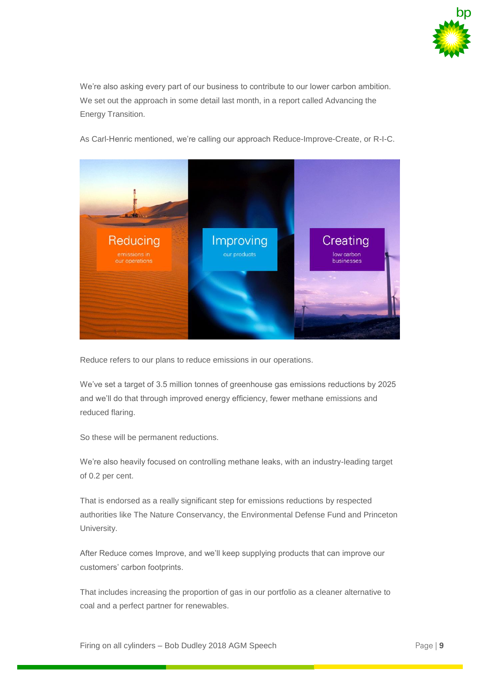

We're also asking every part of our business to contribute to our lower carbon ambition. We set out the approach in some detail last month, in a report called Advancing the Energy Transition.

As Carl-Henric mentioned, we're calling our approach Reduce-Improve-Create, or R-I-C.



Reduce refers to our plans to reduce emissions in our operations.

We've set a target of 3.5 million tonnes of greenhouse gas emissions reductions by 2025 and we'll do that through improved energy efficiency, fewer methane emissions and reduced flaring.

So these will be permanent reductions.

We're also heavily focused on controlling methane leaks, with an industry-leading target of 0.2 per cent.

That is endorsed as a really significant step for emissions reductions by respected authorities like The Nature Conservancy, the Environmental Defense Fund and Princeton University.

After Reduce comes Improve, and we'll keep supplying products that can improve our customers' carbon footprints.

That includes increasing the proportion of gas in our portfolio as a cleaner alternative to coal and a perfect partner for renewables.

Firing on all cylinders – Bob Dudley 2018 AGM Speech Page | **9**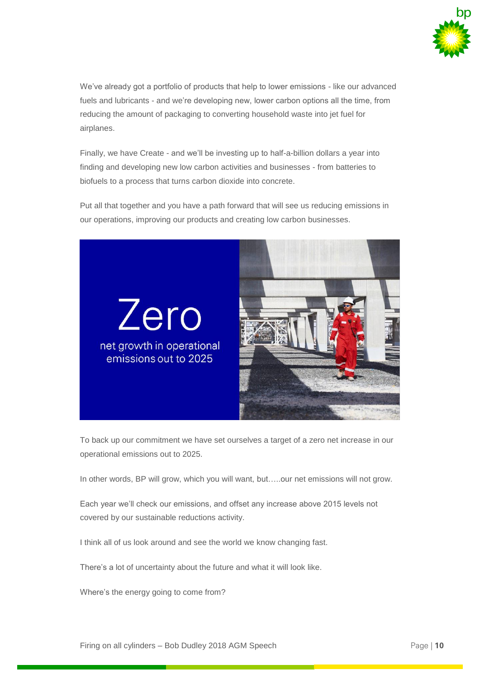

We've already got a portfolio of products that help to lower emissions - like our advanced fuels and lubricants - and we're developing new, lower carbon options all the time, from reducing the amount of packaging to converting household waste into jet fuel for airplanes.

Finally, we have Create - and we'll be investing up to half-a-billion dollars a year into finding and developing new low carbon activities and businesses - from batteries to biofuels to a process that turns carbon dioxide into concrete.

Put all that together and you have a path forward that will see us reducing emissions in our operations, improving our products and creating low carbon businesses.



To back up our commitment we have set ourselves a target of a zero net increase in our operational emissions out to 2025.

In other words, BP will grow, which you will want, but…..our net emissions will not grow.

Each year we'll check our emissions, and offset any increase above 2015 levels not covered by our sustainable reductions activity.

I think all of us look around and see the world we know changing fast.

There's a lot of uncertainty about the future and what it will look like.

Where's the energy going to come from?

Firing on all cylinders – Bob Dudley 2018 AGM Speech Page | **10**